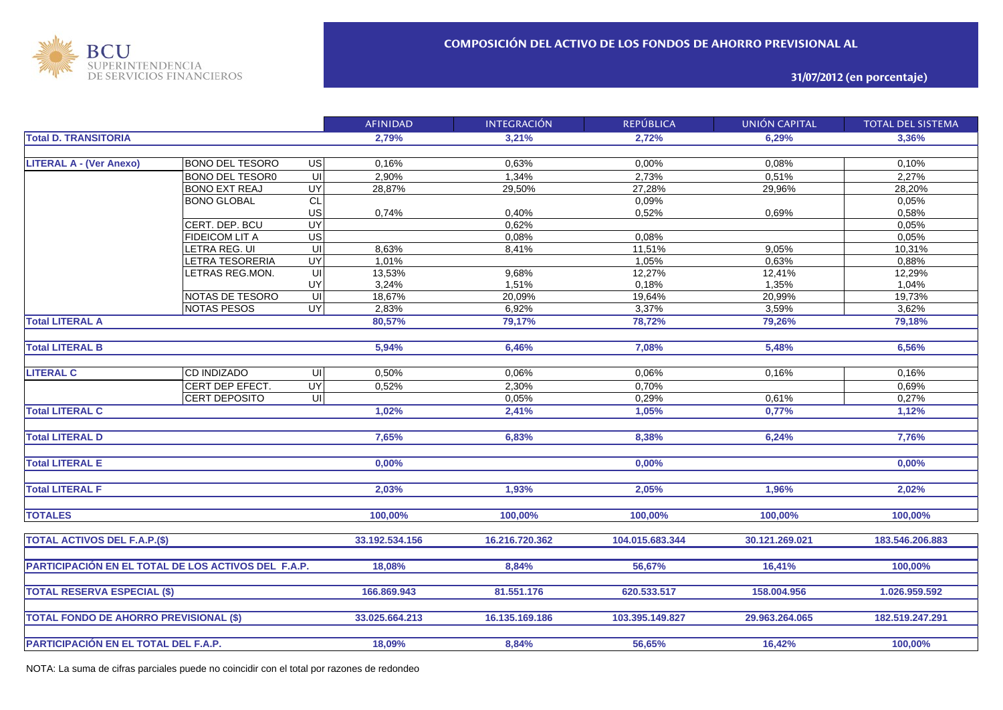

**31/07/2012 (en porcentaje)**

|                                                     |                        |                         | <b>AFINIDAD</b> | <b>INTEGRACIÓN</b> | <b>REPÚBLICA</b> | <b>UNIÓN CAPITAL</b> | <b>TOTAL DEL SISTEMA</b> |
|-----------------------------------------------------|------------------------|-------------------------|-----------------|--------------------|------------------|----------------------|--------------------------|
| <b>Total D. TRANSITORIA</b>                         |                        |                         | 2,79%           | 3,21%              | 2,72%            | 6,29%                | 3,36%                    |
|                                                     |                        |                         |                 |                    |                  |                      |                          |
| <b>LITERAL A - (Ver Anexo)</b>                      | <b>BONO DEL TESORO</b> | US                      | 0,16%           | 0,63%              | 0,00%            | 0,08%                | 0,10%                    |
|                                                     | <b>BONO DEL TESOR0</b> | UI                      | 2,90%           | 1,34%              | 2,73%            | 0,51%                | 2,27%                    |
|                                                     | <b>BONO EXT REAJ</b>   | <b>UY</b>               | 28,87%          | 29,50%             | 27,28%           | 29,96%               | 28,20%                   |
|                                                     | <b>BONO GLOBAL</b>     | CL                      |                 |                    | 0,09%            |                      | 0,05%                    |
|                                                     |                        | US                      | 0,74%           | 0,40%              | 0,52%            | 0,69%                | 0,58%                    |
|                                                     | CERT. DEP. BCU         | <b>UY</b>               |                 | 0,62%              |                  |                      | 0,05%                    |
|                                                     | <b>FIDEICOM LIT A</b>  | $\overline{US}$         |                 | 0,08%              | 0,08%            |                      | 0,05%                    |
|                                                     | LETRA REG. UI          | UI                      | 8,63%           | 8,41%              | 11,51%           | 9,05%                | 10,31%                   |
|                                                     | LETRA TESORERIA        | <b>UY</b>               | 1,01%           |                    | 1,05%            | 0,63%                | 0,88%                    |
|                                                     | LETRAS REG.MON.        | $\overline{\mathsf{U}}$ | 13,53%          | 9,68%              | 12,27%           | 12,41%               | 12,29%                   |
|                                                     |                        | UY                      | 3,24%           | 1,51%              | 0,18%            | 1,35%                | 1,04%                    |
|                                                     | NOTAS DE TESORO        | $\subseteq$             | 18,67%          | 20,09%             | 19,64%           | 20,99%               | 19,73%                   |
|                                                     | <b>NOTAS PESOS</b>     | <b>UY</b>               | 2,83%           | 6,92%              | 3,37%            | 3,59%                | 3,62%                    |
| <b>Total LITERAL A</b>                              |                        |                         | 80,57%          | 79,17%             | 78,72%           | 79,26%               | 79,18%                   |
|                                                     |                        |                         |                 |                    |                  |                      |                          |
| <b>Total LITERAL B</b>                              |                        |                         | 5,94%           | 6,46%              | 7,08%            | 5,48%                | 6,56%                    |
|                                                     |                        |                         |                 |                    |                  |                      |                          |
| <b>LITERAL C</b>                                    | CD INDIZADO            | UI                      | 0,50%           | 0,06%              | 0,06%            | 0,16%                | 0,16%                    |
|                                                     | CERT DEP EFECT.        | UY <sub></sub>          | 0,52%           | 2,30%              | 0,70%            |                      | 0,69%                    |
|                                                     | <b>CERT DEPOSITO</b>   | UI                      |                 | 0,05%              | 0,29%            | 0,61%                | 0,27%                    |
| <b>Total LITERAL C</b>                              |                        |                         | 1,02%           | 2,41%              | 1,05%            | 0,77%                | 1,12%                    |
|                                                     |                        |                         |                 |                    |                  |                      |                          |
| <b>Total LITERAL D</b>                              |                        |                         | 7,65%           | 6,83%              | 8,38%            | 6,24%                | 7,76%                    |
|                                                     |                        |                         |                 |                    |                  |                      |                          |
| <b>Total LITERAL E</b>                              |                        |                         | 0,00%           |                    | 0,00%            |                      | 0,00%                    |
|                                                     |                        |                         |                 |                    |                  |                      |                          |
| <b>Total LITERAL F</b>                              |                        |                         | 2,03%           | 1.93%              | 2,05%            | 1,96%                | 2,02%                    |
|                                                     |                        |                         |                 |                    |                  |                      |                          |
|                                                     |                        |                         |                 |                    |                  |                      |                          |
| <b>TOTALES</b>                                      |                        |                         | 100,00%         | 100,00%            | 100,00%          | 100,00%              | 100,00%                  |
|                                                     |                        |                         |                 |                    |                  |                      |                          |
| <b>TOTAL ACTIVOS DEL F.A.P.(\$)</b>                 |                        |                         | 33.192.534.156  | 16.216.720.362     | 104.015.683.344  | 30.121.269.021       | 183.546.206.883          |
|                                                     |                        |                         |                 |                    |                  |                      |                          |
| PARTICIPACIÓN EN EL TOTAL DE LOS ACTIVOS DEL F.A.P. |                        |                         | 18,08%          | 8,84%              | 56,67%           | 16,41%               | 100,00%                  |
|                                                     |                        |                         |                 |                    |                  |                      |                          |
| <b>TOTAL RESERVA ESPECIAL (\$)</b>                  |                        |                         | 166.869.943     | 81.551.176         | 620.533.517      | 158.004.956          | 1.026.959.592            |
|                                                     |                        |                         |                 |                    |                  |                      |                          |
| <b>TOTAL FONDO DE AHORRO PREVISIONAL (\$)</b>       |                        |                         | 33.025.664.213  | 16.135.169.186     | 103.395.149.827  | 29.963.264.065       | 182.519.247.291          |
|                                                     |                        |                         |                 |                    |                  |                      |                          |
| PARTICIPACIÓN EN EL TOTAL DEL F.A.P.                |                        |                         | 18.09%          | 8.84%              | 56.65%           | 16.42%               | 100.00%                  |

NOTA: La suma de cifras parciales puede no coincidir con el total por razones de redondeo